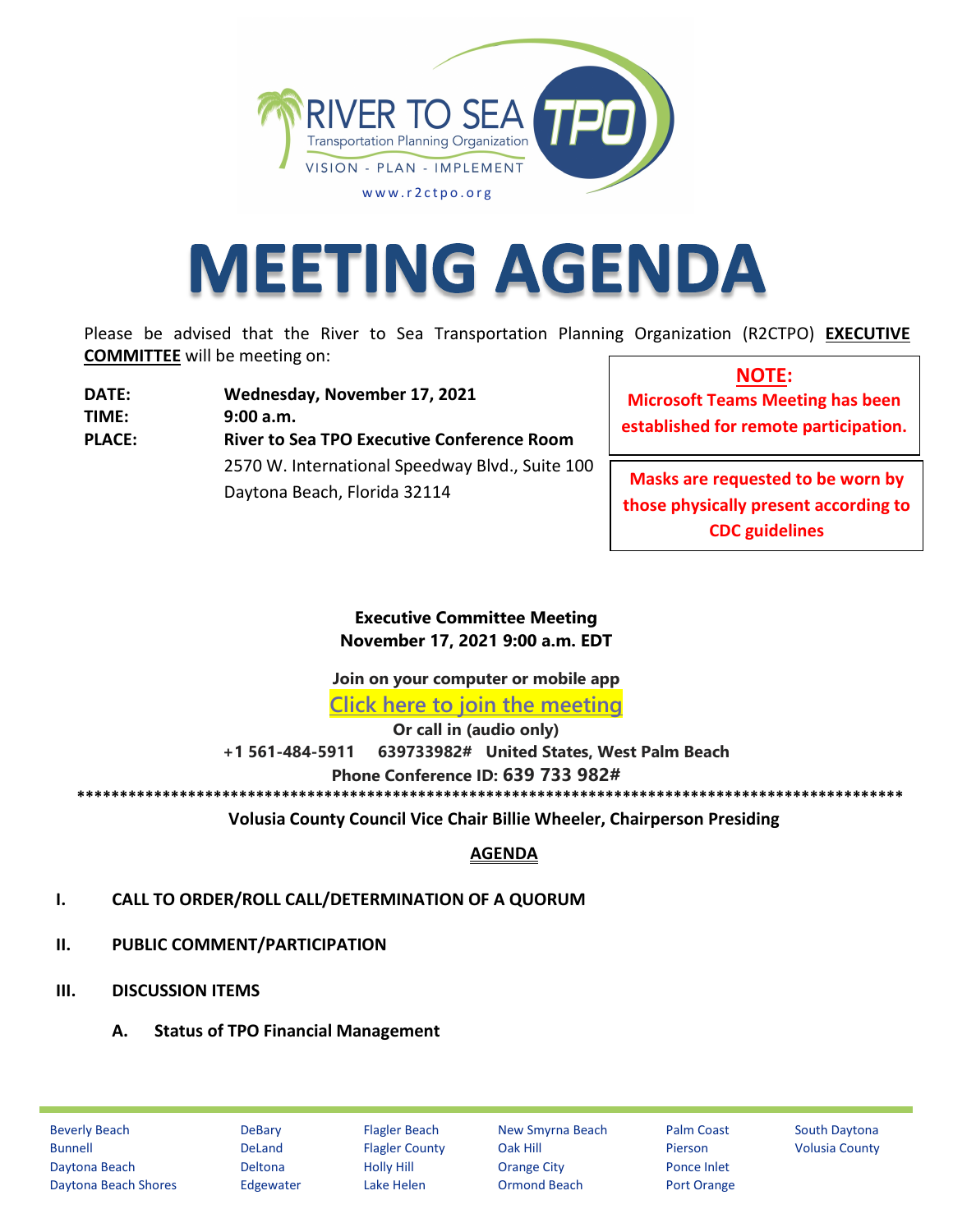

# **MEETING AGENDA**

Please be advised that the River to Sea Transportation Planning Organization (R2CTPO) **EXECUTIVE COMMITTEE** will be meeting on:

**DATE: Wednesday, November 17, 2021 TIME: 9:00 a.m. PLACE: River to Sea TPO Executive Conference Room** 2570 W. International Speedway Blvd., Suite 100 Daytona Beach, Florida 32114

**NOTE: Microsoft Teams Meeting has been established for remote participation.**

**Masks are requested to be worn by those physically present according to CDC guidelines**

**Executive Committee Meeting November 17, 2021 9:00 a.m. EDT**

**Join on your computer or mobile app**

**[Click here to join the meeting](https://teams.microsoft.com/l/meetup-join/19%3ameeting_YmM1MGY1YjItYzA2ZC00NWY2LTliNDYtZTBhYjdiOWVjMGRj%40thread.v2/0?context=%7b%22Tid%22%3a%22d5f4bfa4-fe50-42f9-af2c-96701c15da1c%22%2c%22Oid%22%3a%22d51a8b9b-dd47-4eff-a5f0-25a5d28255cd%22%7d)**

**Or call in (audio only)**

**+1 561-484-5911 639733982# United States, West Palm Beach**

**Phone Conference ID: 639 733 982#**

**\*\*\*\*\*\*\*\*\*\*\*\*\*\*\*\*\*\*\*\*\*\*\*\*\*\*\*\*\*\*\*\*\*\*\*\*\*\*\*\*\*\*\*\*\*\*\*\*\*\*\*\*\*\*\*\*\*\*\*\*\*\*\*\*\*\*\*\*\*\*\*\*\*\*\*\*\*\*\*\*\*\*\*\*\*\*\*\*\*\*\*\*\*\*\*\*\***

**Volusia County Council Vice Chair Billie Wheeler, Chairperson Presiding**

## **AGENDA**

- **I. CALL TO ORDER/ROLL CALL/DETERMINATION OF A QUORUM**
- **II. PUBLIC COMMENT/PARTICIPATION**
- **III. DISCUSSION ITEMS** 
	- **A. Status of TPO Financial Management**

Beverly Beach **DeBary Flagler Beach New Smyrna Beach** Palm Coast South Daytona Bunnell **DeLand** Flagler County Oak Hill Pierson Volusia County Daytona Beach Deltona Holly Hill Orange City Ponce Inlet Daytona Beach Shores Edgewater Lake Helen Ormond Beach Port Orange